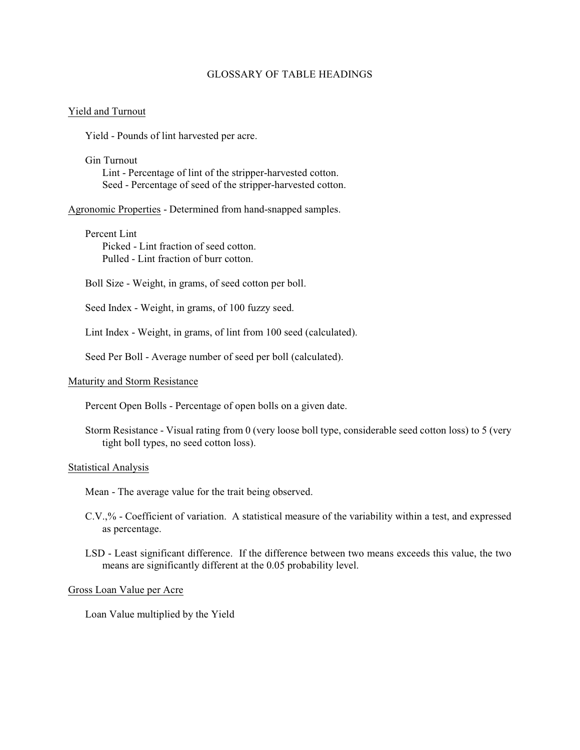# GLOSSARY OF TABLE HEADINGS

## Yield and Turnout

Yield - Pounds of lint harvested per acre.

Gin Turnout Lint - Percentage of lint of the stripper-harvested cotton. Seed - Percentage of seed of the stripper-harvested cotton.

Agronomic Properties - Determined from hand-snapped samples.

Percent Lint Picked - Lint fraction of seed cotton. Pulled - Lint fraction of burr cotton.

Boll Size - Weight, in grams, of seed cotton per boll.

Seed Index - Weight, in grams, of 100 fuzzy seed.

Lint Index - Weight, in grams, of lint from 100 seed (calculated).

Seed Per Boll - Average number of seed per boll (calculated).

### Maturity and Storm Resistance

Percent Open Bolls - Percentage of open bolls on a given date.

Storm Resistance - Visual rating from 0 (very loose boll type, considerable seed cotton loss) to 5 (very tight boll types, no seed cotton loss).

#### Statistical Analysis

Mean - The average value for the trait being observed.

- C.V.,% Coefficient of variation. A statistical measure of the variability within a test, and expressed as percentage.
- LSD Least significant difference. If the difference between two means exceeds this value, the two means are significantly different at the 0.05 probability level.

## Gross Loan Value per Acre

Loan Value multiplied by the Yield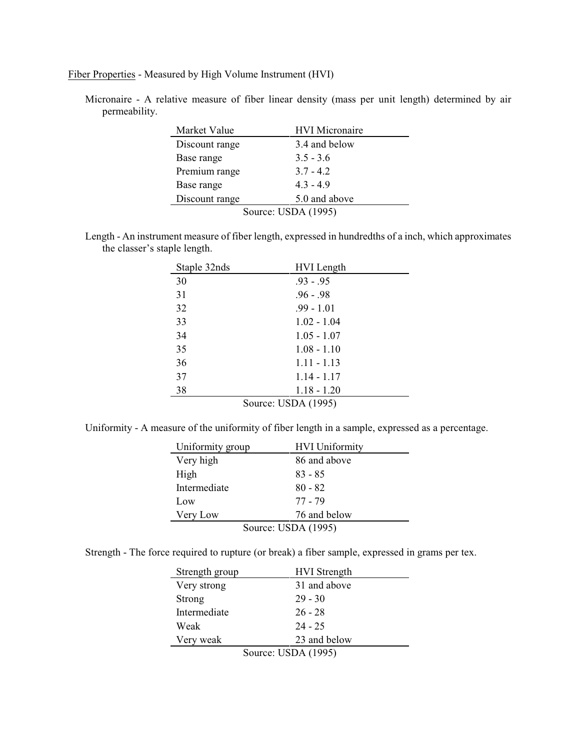Fiber Properties - Measured by High Volume Instrument (HVI)

Micronaire - A relative measure of fiber linear density (mass per unit length) determined by air permeability.

| Market Value        | <b>HVI</b> Micronaire |  |
|---------------------|-----------------------|--|
| Discount range      | 3.4 and below         |  |
| Base range          | $3.5 - 3.6$           |  |
| Premium range       | $3.7 - 4.2$           |  |
| Base range          | $4.3 - 4.9$           |  |
| Discount range      | 5.0 and above         |  |
| Source: USDA (1995) |                       |  |

Length - An instrument measure of fiber length, expressed in hundredths of a inch, which approximates the classer's staple length.

| Staple 32nds        | <b>HVI</b> Length |
|---------------------|-------------------|
| 30                  | $.93 - .95$       |
| 31                  | $.96 - .98$       |
| 32                  | $.99 - 1.01$      |
| 33                  | $1.02 - 1.04$     |
| 34                  | $1.05 - 1.07$     |
| 35                  | $1.08 - 1.10$     |
| 36                  | $1.11 - 1.13$     |
| 37                  | $1.14 - 1.17$     |
| 38                  | $1.18 - 1.20$     |
| Source: USDA (1995) |                   |

Uniformity - A measure of the uniformity of fiber length in a sample, expressed as a percentage.

| Uniformity group    | <b>HVI</b> Uniformity |  |
|---------------------|-----------------------|--|
| Very high           | 86 and above          |  |
| High                | $83 - 85$             |  |
| Intermediate        | $80 - 82$             |  |
| Low                 | 77 - 79               |  |
| Very Low            | 76 and below          |  |
| Source: USDA (1995) |                       |  |

Strength - The force required to rupture (or break) a fiber sample, expressed in grams per tex.

| Strength group      | <b>HVI</b> Strength |
|---------------------|---------------------|
| Very strong         | 31 and above        |
| Strong              | $29 - 30$           |
| Intermediate        | $26 - 28$           |
| Weak                | $24 - 25$           |
| Very weak           | 23 and below        |
| Source: USDA (1995) |                     |